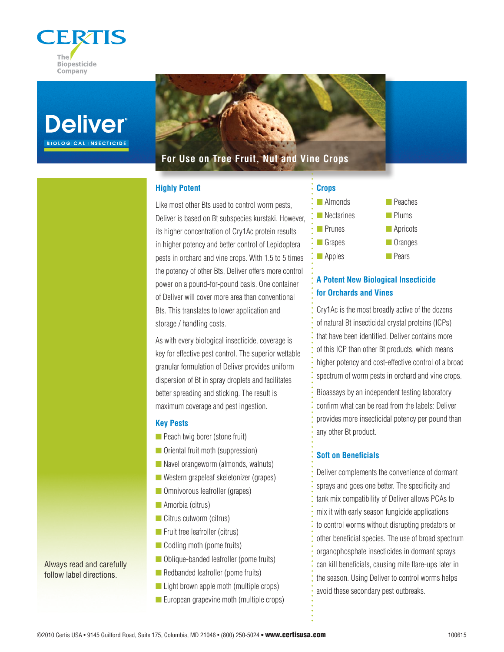





## **Highly Potent**

Like most other Bts used to control worm pests, Deliver is based on Bt subspecies kurstaki. However, its higher concentration of Cry1Ac protein results in higher potency and better control of Lepidoptera pests in orchard and vine crops. With 1.5 to 5 times the potency of other Bts, Deliver offers more control power on a pound-for-pound basis. One container of Deliver will cover more area than conventional Bts. This translates to lower application and storage / handling costs.

As with every biological insecticide, coverage is key for effective pest control. The superior wettable granular formulation of Deliver provides uniform dispersion of Bt in spray droplets and facilitates better spreading and sticking. The result is maximum coverage and pest ingestion.

### **Key Pests**

- $\blacksquare$  Peach twig borer (stone fruit)
- **n** Oriental fruit moth (suppression)
- $\blacksquare$  Navel orangeworm (almonds, walnuts)
- $\blacksquare$  Western grapeleaf skeletonizer (grapes)
- **n** Omnivorous leafroller (grapes)
- $\blacksquare$  Amorbia (citrus)
- $\Box$  Citrus cutworm (citrus)
- $\blacksquare$  Fruit tree leafroller (citrus)
- $\Box$  Codling moth (pome fruits)
- **n** Oblique-banded leafroller (pome fruits)
- Redbanded leafroller (pome fruits)
- $\blacksquare$  Light brown apple moth (multiple crops)
- $\blacksquare$  European grapevine moth (multiple crops)



# **A Potent New Biological Insecticide for Orchards and Vines**

Cry1Ac is the most broadly active of the dozens of natural Bt insecticidal crystal proteins (ICPs) that have been identified. Deliver contains more of this ICP than other Bt products, which means higher potency and cost-effective control of a broad spectrum of worm pests in orchard and vine crops.

Bioassays by an independent testing laboratory confirm what can be read from the labels: Deliver provides more insecticidal potency per pound than any other Bt product.

### **Soft on Beneficials**

Deliver complements the convenience of dormant sprays and goes one better. The specificity and tank mix compatibility of Deliver allows PCAs to mix it with early season fungicide applications to control worms without disrupting predators or other beneficial species. The use of broad spectrum organophosphate insecticides in dormant sprays can kill beneficials, causing mite flare-ups later in the season. Using Deliver to control worms helps avoid these secondary pest outbreaks.

Always read and carefully follow label directions.